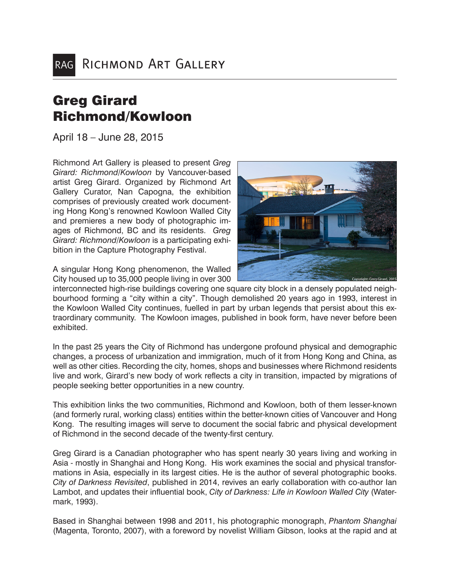## Greg Girard Richmond/Kowloon

April 18 – June 28, 2015

Richmond Art Gallery is pleased to present *Greg Girard: Richmond/Kowloon* by Vancouver-based artist Greg Girard. Organized by Richmond Art Gallery Curator, Nan Capogna, the exhibition comprises of previously created work documenting Hong Kong's renowned Kowloon Walled City and premieres a new body of photographic images of Richmond, BC and its residents. *Greg Girard: Richmond/Kowloon* is a participating exhibition in the Capture Photography Festival.

A singular Hong Kong phenomenon, the Walled City housed up to 35,000 people living in over 300

interconnected high-rise buildings covering one square city block in a densely populated neighbourhood forming a "city within a city". Though demolished 20 years ago in 1993, interest in the Kowloon Walled City continues, fuelled in part by urban legends that persist about this extraordinary community. The Kowloon images, published in book form, have never before been exhibited.

In the past 25 years the City of Richmond has undergone profound physical and demographic changes, a process of urbanization and immigration, much of it from Hong Kong and China, as well as other cities. Recording the city, homes, shops and businesses where Richmond residents live and work, Girard's new body of work reflects a city in transition, impacted by migrations of people seeking better opportunities in a new country.

This exhibition links the two communities, Richmond and Kowloon, both of them lesser-known (and formerly rural, working class) entities within the better-known cities of Vancouver and Hong Kong. The resulting images will serve to document the social fabric and physical development of Richmond in the second decade of the twenty-first century.

Greg Girard is a Canadian photographer who has spent nearly 30 years living and working in Asia - mostly in Shanghai and Hong Kong. His work examines the social and physical transformations in Asia, especially in its largest cities. He is the author of several photographic books. *City of Darkness Revisited*, published in 2014, revives an early collaboration with co-author Ian Lambot, and updates their influential book, *City of Darkness: Life in Kowloon Walled City* (Watermark, 1993).

Based in Shanghai between 1998 and 2011, his photographic monograph, *Phantom Shanghai*  (Magenta, Toronto, 2007), with a foreword by novelist William Gibson, looks at the rapid and at